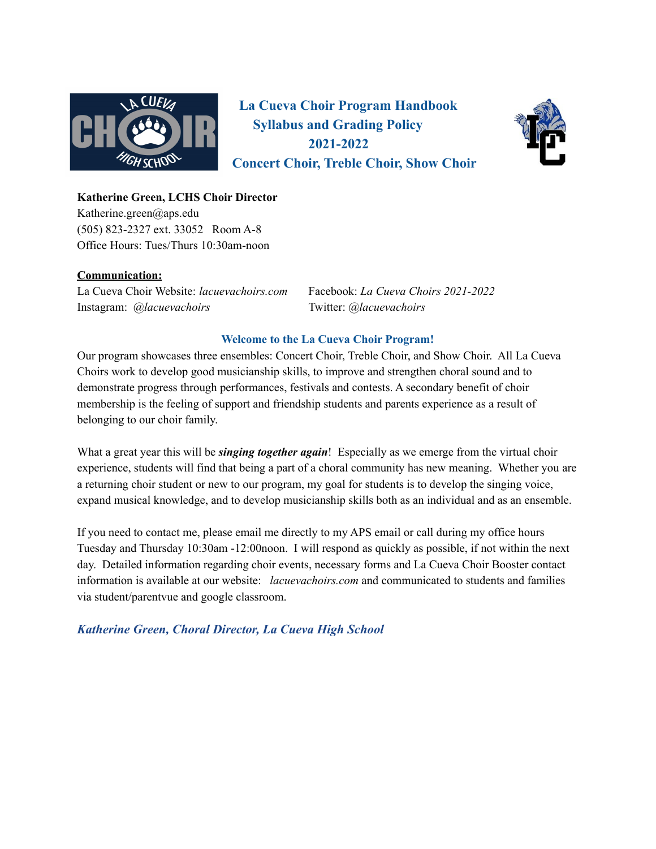

**La Cueva Choir Program Handbook Syllabus and Grading Policy 2021-2022 Concert Choir, Treble Choir, Show Choir**



# **Katherine Green, LCHS Choir Director**

Katherine.green@aps.edu (505) 823-2327 ext. 33052 Room A-8 Office Hours: Tues/Thurs 10:30am-noon

# **Communication:**

La Cueva Choir Website: *lacuevachoirs.com* Facebook: *La Cueva Choirs 2021-2022* Instagram: *@lacuevachoirs* Twitter: *@lacuevachoirs*

# **Welcome to the La Cueva Choir Program!**

Our program showcases three ensembles: Concert Choir, Treble Choir, and Show Choir. All La Cueva Choirs work to develop good musicianship skills, to improve and strengthen choral sound and to demonstrate progress through performances, festivals and contests. A secondary benefit of choir membership is the feeling of support and friendship students and parents experience as a result of belonging to our choir family.

What a great year this will be *singing together again*! Especially as we emerge from the virtual choir experience, students will find that being a part of a choral community has new meaning. Whether you are a returning choir student or new to our program, my goal for students is to develop the singing voice, expand musical knowledge, and to develop musicianship skills both as an individual and as an ensemble.

If you need to contact me, please email me directly to my APS email or call during my office hours Tuesday and Thursday 10:30am -12:00noon. I will respond as quickly as possible, if not within the next day. Detailed information regarding choir events, necessary forms and La Cueva Choir Booster contact information is available at our website: *lacuevachoirs.com* and communicated to students and families via student/parentvue and google classroom.

# *Katherine Green, Choral Director, La Cueva High School*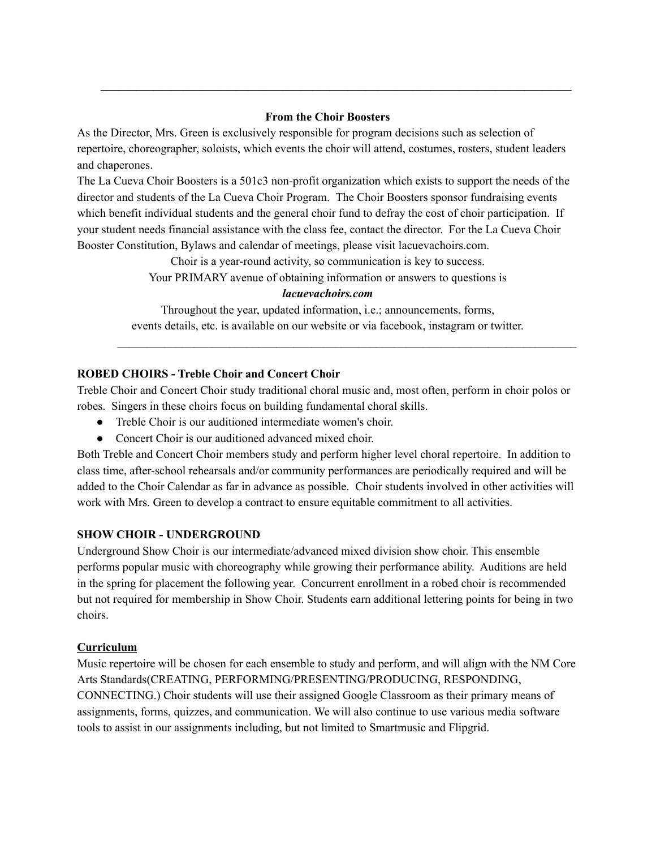### **From the Choir Boosters**

**\_\_\_\_\_\_\_\_\_\_\_\_\_\_\_\_\_\_\_\_\_\_\_\_\_\_\_\_\_\_\_\_\_\_\_\_\_\_\_\_\_\_\_\_\_\_\_\_\_\_\_\_\_\_\_\_\_\_\_\_\_\_\_\_\_\_\_\_\_\_\_\_\_\_\_\_\_\_\_\_**

As the Director, Mrs. Green is exclusively responsible for program decisions such as selection of repertoire, choreographer, soloists, which events the choir will attend, costumes, rosters, student leaders and chaperones.

The La Cueva Choir Boosters is a 501c3 non-profit organization which exists to support the needs of the director and students of the La Cueva Choir Program. The Choir Boosters sponsor fundraising events which benefit individual students and the general choir fund to defray the cost of choir participation. If your student needs financial assistance with the class fee, contact the director. For the La Cueva Choir Booster Constitution, Bylaws and calendar of meetings, please visit lacuevachoirs.com.

Choir is a year-round activity, so communication is key to success.

Your PRIMARY avenue of obtaining information or answers to questions is

#### *lacuevachoirs.com*

Throughout the year, updated information, i.e.; announcements, forms, events details, etc. is available on our website or via facebook, instagram or twitter.

 $\mathcal{L}_\mathcal{L} = \{ \mathcal{L}_\mathcal{L} = \{ \mathcal{L}_\mathcal{L} = \{ \mathcal{L}_\mathcal{L} = \{ \mathcal{L}_\mathcal{L} = \{ \mathcal{L}_\mathcal{L} = \{ \mathcal{L}_\mathcal{L} = \{ \mathcal{L}_\mathcal{L} = \{ \mathcal{L}_\mathcal{L} = \{ \mathcal{L}_\mathcal{L} = \{ \mathcal{L}_\mathcal{L} = \{ \mathcal{L}_\mathcal{L} = \{ \mathcal{L}_\mathcal{L} = \{ \mathcal{L}_\mathcal{L} = \{ \mathcal{L}_\mathcal{$ 

## **ROBED CHOIRS - Treble Choir and Concert Choir**

Treble Choir and Concert Choir study traditional choral music and, most often, perform in choir polos or robes. Singers in these choirs focus on building fundamental choral skills.

- Treble Choir is our auditioned intermediate women's choir.
- Concert Choir is our auditioned advanced mixed choir.

Both Treble and Concert Choir members study and perform higher level choral repertoire. In addition to class time, after-school rehearsals and/or community performances are periodically required and will be added to the Choir Calendar as far in advance as possible. Choir students involved in other activities will work with Mrs. Green to develop a contract to ensure equitable commitment to all activities.

### **SHOW CHOIR - UNDERGROUND**

Underground Show Choir is our intermediate/advanced mixed division show choir. This ensemble performs popular music with choreography while growing their performance ability. Auditions are held in the spring for placement the following year. Concurrent enrollment in a robed choir is recommended but not required for membership in Show Choir. Students earn additional lettering points for being in two choirs.

### **Curriculum**

Music repertoire will be chosen for each ensemble to study and perform, and will align with the NM Core Arts Standards(CREATING, PERFORMING/PRESENTING/PRODUCING, RESPONDING, CONNECTING.) Choir students will use their assigned Google Classroom as their primary means of assignments, forms, quizzes, and communication. We will also continue to use various media software tools to assist in our assignments including, but not limited to Smartmusic and Flipgrid.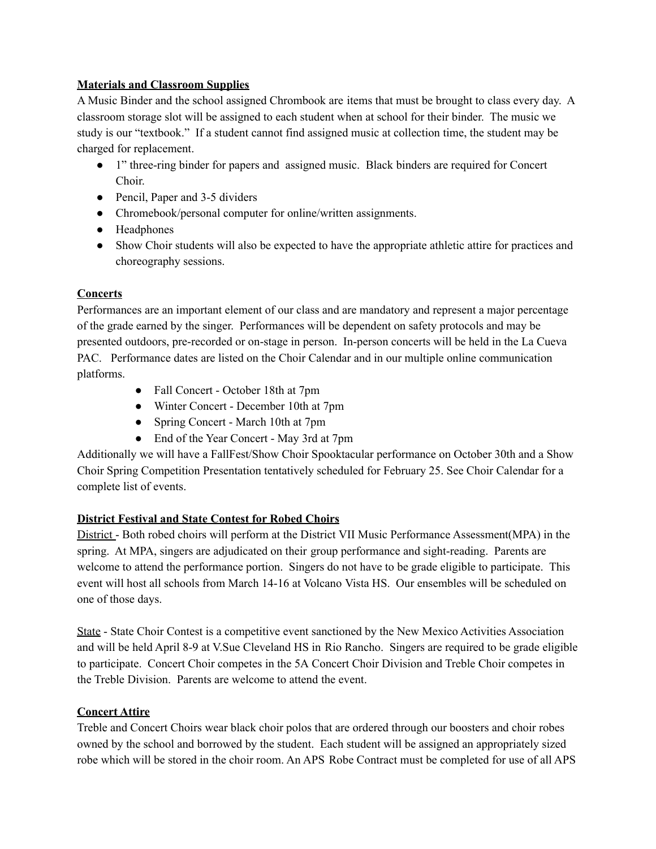# **Materials and Classroom Supplies**

A Music Binder and the school assigned Chrombook are items that must be brought to class every day. A classroom storage slot will be assigned to each student when at school for their binder. The music we study is our "textbook." If a student cannot find assigned music at collection time, the student may be charged for replacement.

- 1" three-ring binder for papers and assigned music. Black binders are required for Concert Choir.
- Pencil, Paper and 3-5 dividers
- Chromebook/personal computer for online/written assignments.
- Headphones
- Show Choir students will also be expected to have the appropriate athletic attire for practices and choreography sessions.

# **Concerts**

Performances are an important element of our class and are mandatory and represent a major percentage of the grade earned by the singer. Performances will be dependent on safety protocols and may be presented outdoors, pre-recorded or on-stage in person. In-person concerts will be held in the La Cueva PAC. Performance dates are listed on the Choir Calendar and in our multiple online communication platforms.

- Fall Concert October 18th at 7pm
- Winter Concert December 10th at 7pm
- Spring Concert March 10th at 7pm
- End of the Year Concert May 3rd at 7pm

Additionally we will have a FallFest/Show Choir Spooktacular performance on October 30th and a Show Choir Spring Competition Presentation tentatively scheduled for February 25. See Choir Calendar for a complete list of events.

# **District Festival and State Contest for Robed Choirs**

District - Both robed choirs will perform at the District VII Music Performance Assessment(MPA) in the spring. At MPA, singers are adjudicated on their group performance and sight-reading. Parents are welcome to attend the performance portion. Singers do not have to be grade eligible to participate. This event will host all schools from March 14-16 at Volcano Vista HS. Our ensembles will be scheduled on one of those days.

State - State Choir Contest is a competitive event sanctioned by the New Mexico Activities Association and will be held April 8-9 at V.Sue Cleveland HS in Rio Rancho. Singers are required to be grade eligible to participate. Concert Choir competes in the 5A Concert Choir Division and Treble Choir competes in the Treble Division. Parents are welcome to attend the event.

# **Concert Attire**

Treble and Concert Choirs wear black choir polos that are ordered through our boosters and choir robes owned by the school and borrowed by the student. Each student will be assigned an appropriately sized robe which will be stored in the choir room. An APS Robe Contract must be completed for use of all APS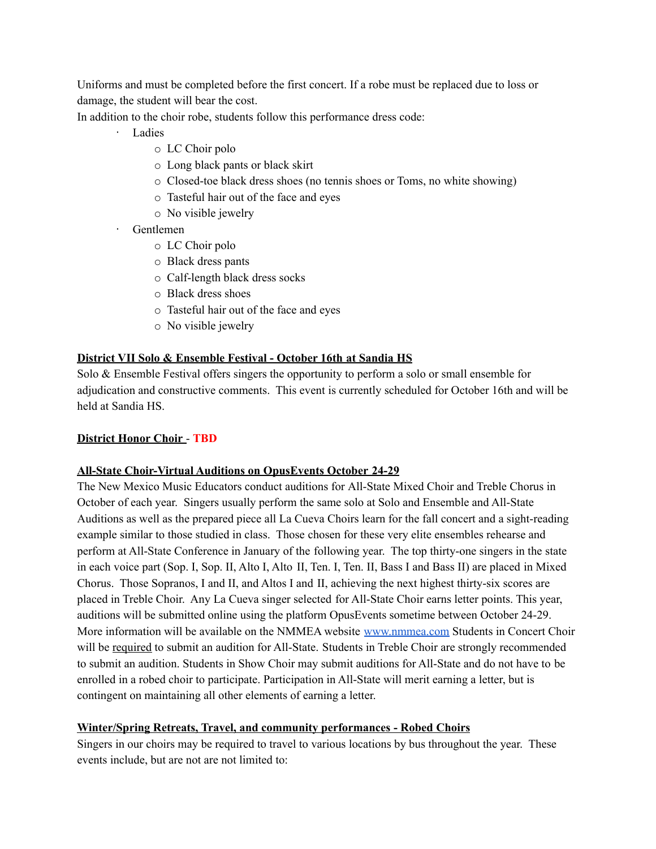Uniforms and must be completed before the first concert. If a robe must be replaced due to loss or damage, the student will bear the cost.

In addition to the choir robe, students follow this performance dress code:

- · Ladies
	- o LC Choir polo
	- o Long black pants or black skirt
	- o Closed-toe black dress shoes (no tennis shoes or Toms, no white showing)
	- o Tasteful hair out of the face and eyes
	- o No visible jewelry
- · Gentlemen
	- o LC Choir polo
	- o Black dress pants
	- o Calf-length black dress socks
	- o Black dress shoes
	- o Tasteful hair out of the face and eyes
	- o No visible jewelry

## **District VII Solo & Ensemble Festival - October 16th at Sandia HS**

Solo  $\&$  Ensemble Festival offers singers the opportunity to perform a solo or small ensemble for adjudication and constructive comments. This event is currently scheduled for October 16th and will be held at Sandia HS.

### **District Honor Choir** - **TBD**

### **All-State Choir-Virtual Auditions on OpusEvents October 24-29**

The New Mexico Music Educators conduct auditions for All-State Mixed Choir and Treble Chorus in October of each year. Singers usually perform the same solo at Solo and Ensemble and All-State Auditions as well as the prepared piece all La Cueva Choirs learn for the fall concert and a sight-reading example similar to those studied in class. Those chosen for these very elite ensembles rehearse and perform at All-State Conference in January of the following year. The top thirty-one singers in the state in each voice part (Sop. I, Sop. II, Alto I, Alto II, Ten. I, Ten. II, Bass I and Bass II) are placed in Mixed Chorus. Those Sopranos, I and II, and Altos I and II, achieving the next highest thirty-six scores are placed in Treble Choir. Any La Cueva singer selected for All-State Choir earns letter points. This year, auditions will be submitted online using the platform OpusEvents sometime between October 24-29. More information will be available on the NMMEA website [www.nmmea.com](http://www.nmmea.com) Students in Concert Choir will be required to submit an audition for All-State. Students in Treble Choir are strongly recommended to submit an audition. Students in Show Choir may submit auditions for All-State and do not have to be enrolled in a robed choir to participate. Participation in All-State will merit earning a letter, but is contingent on maintaining all other elements of earning a letter.

### **Winter/Spring Retreats, Travel, and community performances - Robed Choirs**

Singers in our choirs may be required to travel to various locations by bus throughout the year. These events include, but are not are not limited to: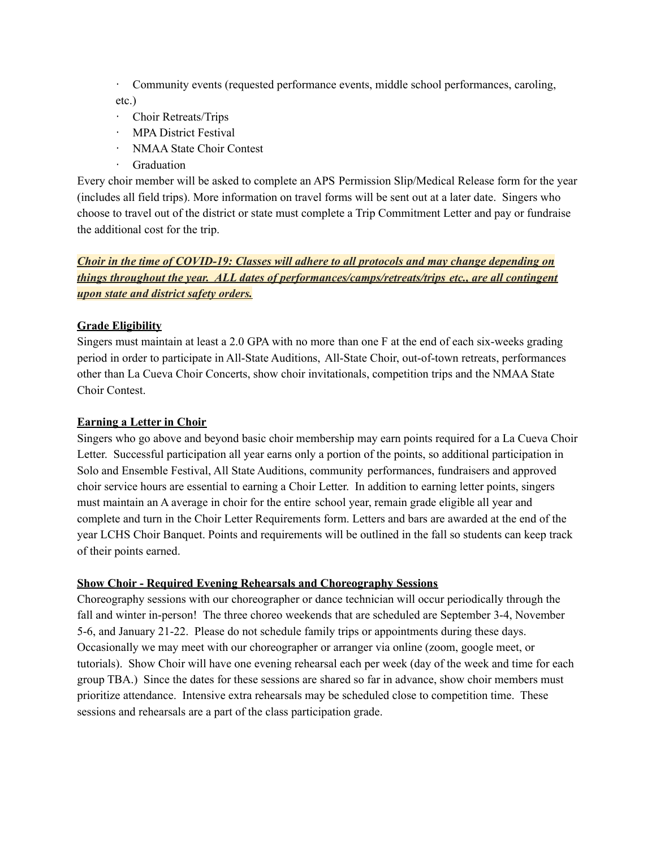· Community events (requested performance events, middle school performances, caroling, etc.)

- · Choir Retreats/Trips
- · MPA District Festival
- · NMAA State Choir Contest
- · Graduation

Every choir member will be asked to complete an APS Permission Slip/Medical Release form for the year (includes all field trips). More information on travel forms will be sent out at a later date. Singers who choose to travel out of the district or state must complete a Trip Commitment Letter and pay or fundraise the additional cost for the trip.

*Choir in the time of COVID-19: Classes will adhere to all protocols and may change depending on things throughout the year. ALL dates of performances/camps/retreats/trips etc., are all contingent upon state and district safety orders.*

# **Grade Eligibility**

Singers must maintain at least a 2.0 GPA with no more than one F at the end of each six-weeks grading period in order to participate in All-State Auditions, All-State Choir, out-of-town retreats, performances other than La Cueva Choir Concerts, show choir invitationals, competition trips and the NMAA State Choir Contest.

# **Earning a Letter in Choir**

Singers who go above and beyond basic choir membership may earn points required for a La Cueva Choir Letter. Successful participation all year earns only a portion of the points, so additional participation in Solo and Ensemble Festival, All State Auditions, community performances, fundraisers and approved choir service hours are essential to earning a Choir Letter. In addition to earning letter points, singers must maintain an A average in choir for the entire school year, remain grade eligible all year and complete and turn in the Choir Letter Requirements form. Letters and bars are awarded at the end of the year LCHS Choir Banquet. Points and requirements will be outlined in the fall so students can keep track of their points earned.

### **Show Choir - Required Evening Rehearsals and Choreography Sessions**

Choreography sessions with our choreographer or dance technician will occur periodically through the fall and winter in-person! The three choreo weekends that are scheduled are September 3-4, November 5-6, and January 21-22. Please do not schedule family trips or appointments during these days. Occasionally we may meet with our choreographer or arranger via online (zoom, google meet, or tutorials). Show Choir will have one evening rehearsal each per week (day of the week and time for each group TBA.) Since the dates for these sessions are shared so far in advance, show choir members must prioritize attendance. Intensive extra rehearsals may be scheduled close to competition time. These sessions and rehearsals are a part of the class participation grade.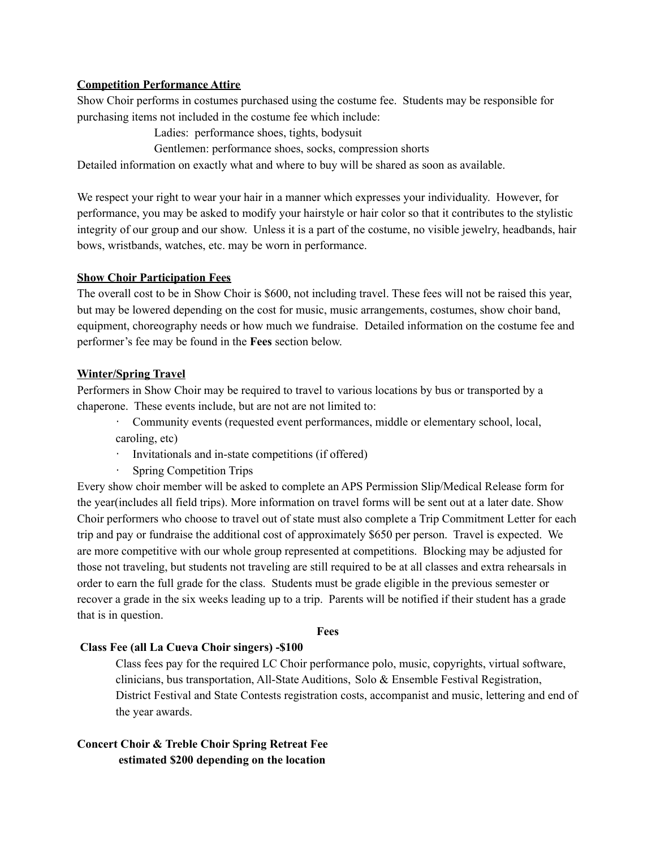## **Competition Performance Attire**

Show Choir performs in costumes purchased using the costume fee. Students may be responsible for purchasing items not included in the costume fee which include:

Ladies: performance shoes, tights, bodysuit

Gentlemen: performance shoes, socks, compression shorts

Detailed information on exactly what and where to buy will be shared as soon as available.

We respect your right to wear your hair in a manner which expresses your individuality. However, for performance, you may be asked to modify your hairstyle or hair color so that it contributes to the stylistic integrity of our group and our show. Unless it is a part of the costume, no visible jewelry, headbands, hair bows, wristbands, watches, etc. may be worn in performance.

## **Show Choir Participation Fees**

The overall cost to be in Show Choir is \$600, not including travel. These fees will not be raised this year, but may be lowered depending on the cost for music, music arrangements, costumes, show choir band, equipment, choreography needs or how much we fundraise. Detailed information on the costume fee and performer's fee may be found in the **Fees** section below.

## **Winter/Spring Travel**

Performers in Show Choir may be required to travel to various locations by bus or transported by a chaperone. These events include, but are not are not limited to:

· Community events (requested event performances, middle or elementary school, local, caroling, etc)

- · Invitationals and in-state competitions (if offered)
- · Spring Competition Trips

Every show choir member will be asked to complete an APS Permission Slip/Medical Release form for the year(includes all field trips). More information on travel forms will be sent out at a later date. Show Choir performers who choose to travel out of state must also complete a Trip Commitment Letter for each trip and pay or fundraise the additional cost of approximately \$650 per person. Travel is expected. We are more competitive with our whole group represented at competitions. Blocking may be adjusted for those not traveling, but students not traveling are still required to be at all classes and extra rehearsals in order to earn the full grade for the class. Students must be grade eligible in the previous semester or recover a grade in the six weeks leading up to a trip. Parents will be notified if their student has a grade that is in question.

#### **Fees**

### **Class Fee (all La Cueva Choir singers) -\$100**

Class fees pay for the required LC Choir performance polo, music, copyrights, virtual software, clinicians, bus transportation, All-State Auditions, Solo & Ensemble Festival Registration, District Festival and State Contests registration costs, accompanist and music, lettering and end of the year awards.

# **Concert Choir & Treble Choir Spring Retreat Fee estimated \$200 depending on the location**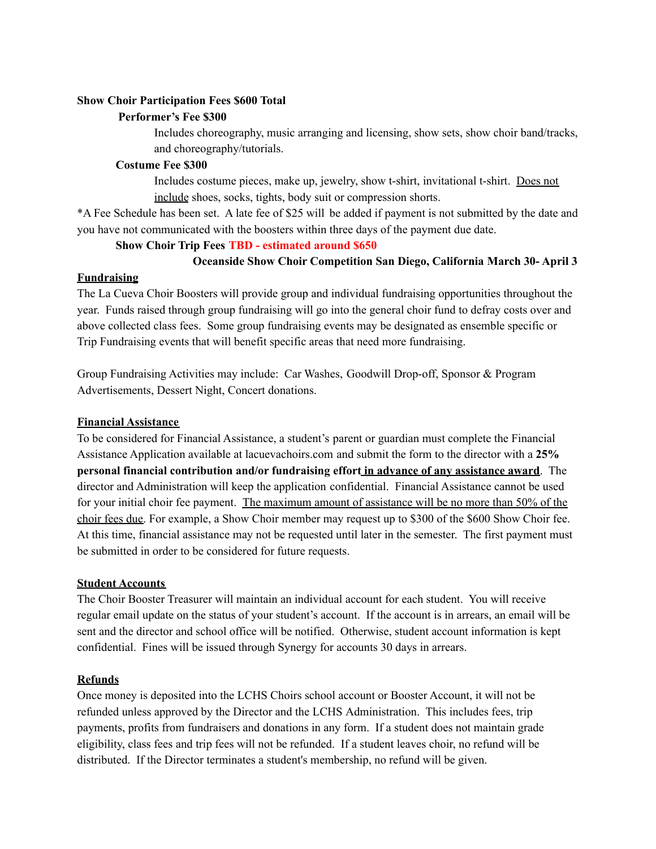# **Show Choir Participation Fees \$600 Total**

## **Performer's Fee \$300**

Includes choreography, music arranging and licensing, show sets, show choir band/tracks, and choreography/tutorials.

## **Costume Fee \$300**

Includes costume pieces, make up, jewelry, show t-shirt, invitational t-shirt. Does not include shoes, socks, tights, body suit or compression shorts.

\*A Fee Schedule has been set. A late fee of \$25 will be added if payment is not submitted by the date and you have not communicated with the boosters within three days of the payment due date.

## **Show Choir Trip Fees TBD - estimated around \$650**

# **Oceanside Show Choir Competition San Diego, California March 30- April 3**

## **Fundraising**

The La Cueva Choir Boosters will provide group and individual fundraising opportunities throughout the year. Funds raised through group fundraising will go into the general choir fund to defray costs over and above collected class fees. Some group fundraising events may be designated as ensemble specific or Trip Fundraising events that will benefit specific areas that need more fundraising.

Group Fundraising Activities may include: Car Washes, Goodwill Drop-off, Sponsor & Program Advertisements, Dessert Night, Concert donations.

## **Financial Assistance**

To be considered for Financial Assistance, a student's parent or guardian must complete the Financial Assistance Application available at lacuevachoirs.com and submit the form to the director with a **25% personal financial contribution and/or fundraising effort in advance of any assistance award**. The director and Administration will keep the application confidential. Financial Assistance cannot be used for your initial choir fee payment. The maximum amount of assistance will be no more than 50% of the choir fees due. For example, a Show Choir member may request up to \$300 of the \$600 Show Choir fee. At this time, financial assistance may not be requested until later in the semester. The first payment must be submitted in order to be considered for future requests.

### **Student Accounts**

The Choir Booster Treasurer will maintain an individual account for each student. You will receive regular email update on the status of your student's account. If the account is in arrears, an email will be sent and the director and school office will be notified. Otherwise, student account information is kept confidential. Fines will be issued through Synergy for accounts 30 days in arrears.

# **Refunds**

Once money is deposited into the LCHS Choirs school account or Booster Account, it will not be refunded unless approved by the Director and the LCHS Administration. This includes fees, trip payments, profits from fundraisers and donations in any form. If a student does not maintain grade eligibility, class fees and trip fees will not be refunded. If a student leaves choir, no refund will be distributed. If the Director terminates a student's membership, no refund will be given.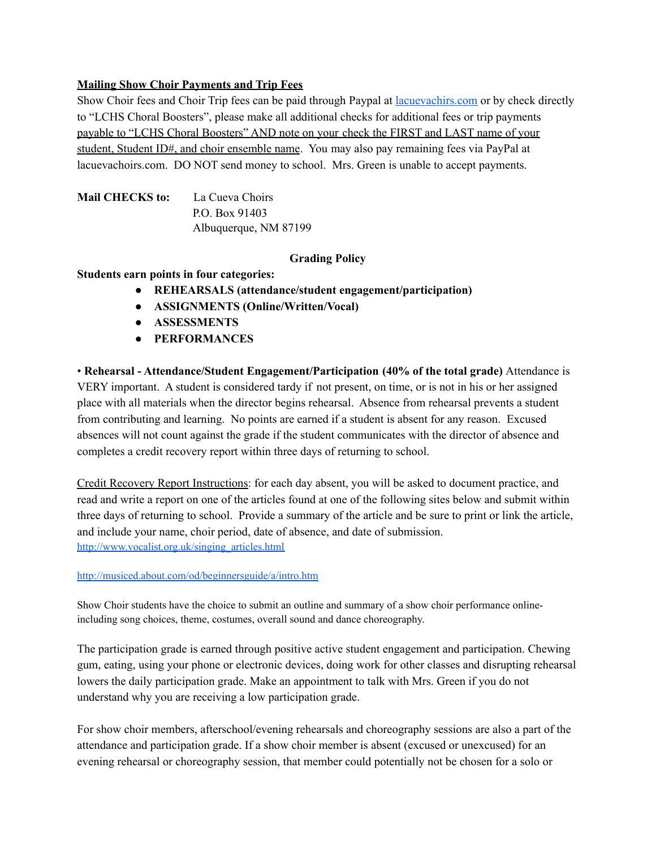## **Mailing Show Choir Payments and Trip Fees**

Show Choir fees and Choir Trip fees can be paid through Paypal at [lacuevachirs.com](https://www.lacuevachoirs.com) or by check directly to "LCHS Choral Boosters", please make all additional checks for additional fees or trip payments payable to "LCHS Choral Boosters" AND note on your check the FIRST and LAST name of your student, Student ID#, and choir ensemble name. You may also pay remaining fees via PayPal at lacuevachoirs.com. DO NOT send money to school. Mrs. Green is unable to accept payments.

| <b>Mail CHECKS to:</b> | La Cueva Choirs       |
|------------------------|-----------------------|
|                        | P.O. Box 91403        |
|                        | Albuquerque, NM 87199 |

## **Grading Policy**

## **Students earn points in four categories:**

- **● REHEARSALS (attendance/student engagement/participation)**
- **● ASSIGNMENTS (Online/Written/Vocal)**
- **● ASSESSMENTS**
- **● PERFORMANCES**

• **Rehearsal - Attendance/Student Engagement/Participation (40% of the total grade)** Attendance is VERY important. A student is considered tardy if not present, on time, or is not in his or her assigned place with all materials when the director begins rehearsal. Absence from rehearsal prevents a student from contributing and learning. No points are earned if a student is absent for any reason. Excused absences will not count against the grade if the student communicates with the director of absence and completes a credit recovery report within three days of returning to school.

Credit Recovery Report Instructions: for each day absent, you will be asked to document practice, and read and write a report on one of the articles found at one of the following sites below and submit within three days of returning to school. Provide a summary of the article and be sure to print or link the article, and include your name, choir period, date of absence, and date of submission. [http://www.vocalist.org.uk/singing\\_articles.html](http://www.vocalist.org.uk/singing_articles.html)

### <http://musiced.about.com/od/beginnersguide/a/intro.htm>

Show Choir students have the choice to submit an outline and summary of a show choir performance onlineincluding song choices, theme, costumes, overall sound and dance choreography.

The participation grade is earned through positive active student engagement and participation. Chewing gum, eating, using your phone or electronic devices, doing work for other classes and disrupting rehearsal lowers the daily participation grade. Make an appointment to talk with Mrs. Green if you do not understand why you are receiving a low participation grade.

For show choir members, afterschool/evening rehearsals and choreography sessions are also a part of the attendance and participation grade. If a show choir member is absent (excused or unexcused) for an evening rehearsal or choreography session, that member could potentially not be chosen for a solo or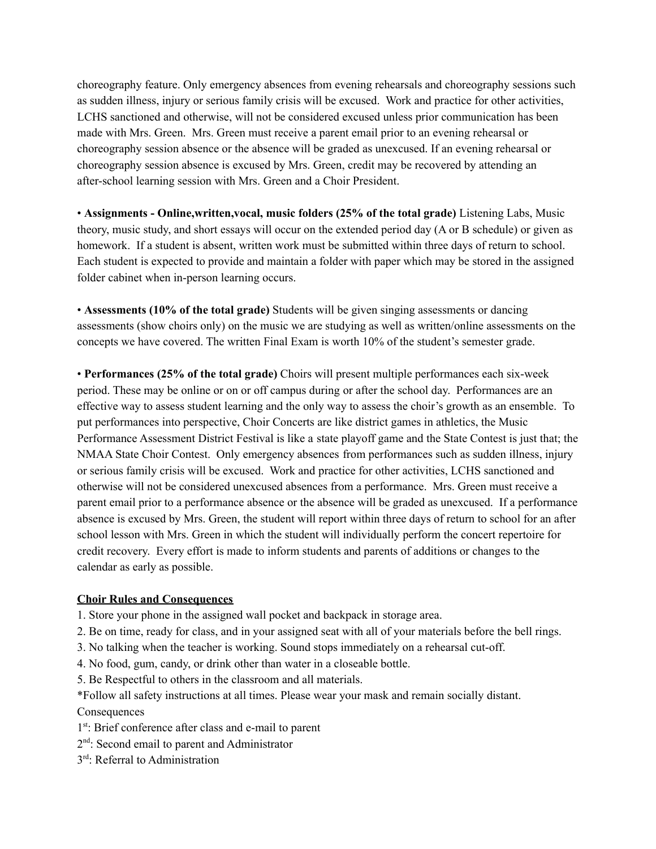choreography feature. Only emergency absences from evening rehearsals and choreography sessions such as sudden illness, injury or serious family crisis will be excused. Work and practice for other activities, LCHS sanctioned and otherwise, will not be considered excused unless prior communication has been made with Mrs. Green. Mrs. Green must receive a parent email prior to an evening rehearsal or choreography session absence or the absence will be graded as unexcused. If an evening rehearsal or choreography session absence is excused by Mrs. Green, credit may be recovered by attending an after-school learning session with Mrs. Green and a Choir President.

• **Assignments - Online,written,vocal, music folders (25% of the total grade)** Listening Labs, Music theory, music study, and short essays will occur on the extended period day (A or B schedule) or given as homework. If a student is absent, written work must be submitted within three days of return to school. Each student is expected to provide and maintain a folder with paper which may be stored in the assigned folder cabinet when in-person learning occurs.

• **Assessments (10% of the total grade)** Students will be given singing assessments or dancing assessments (show choirs only) on the music we are studying as well as written/online assessments on the concepts we have covered. The written Final Exam is worth 10% of the student's semester grade.

• **Performances (25% of the total grade)** Choirs will present multiple performances each six-week period. These may be online or on or off campus during or after the school day. Performances are an effective way to assess student learning and the only way to assess the choir's growth as an ensemble. To put performances into perspective, Choir Concerts are like district games in athletics, the Music Performance Assessment District Festival is like a state playoff game and the State Contest is just that; the NMAA State Choir Contest. Only emergency absences from performances such as sudden illness, injury or serious family crisis will be excused. Work and practice for other activities, LCHS sanctioned and otherwise will not be considered unexcused absences from a performance. Mrs. Green must receive a parent email prior to a performance absence or the absence will be graded as unexcused. If a performance absence is excused by Mrs. Green, the student will report within three days of return to school for an after school lesson with Mrs. Green in which the student will individually perform the concert repertoire for credit recovery. Every effort is made to inform students and parents of additions or changes to the calendar as early as possible.

### **Choir Rules and Consequences**

- 1. Store your phone in the assigned wall pocket and backpack in storage area.
- 2. Be on time, ready for class, and in your assigned seat with all of your materials before the bell rings.
- 3. No talking when the teacher is working. Sound stops immediately on a rehearsal cut-off.
- 4. No food, gum, candy, or drink other than water in a closeable bottle.
- 5. Be Respectful to others in the classroom and all materials.

\*Follow all safety instructions at all times. Please wear your mask and remain socially distant. **Consequences** 

- 1<sup>st</sup>: Brief conference after class and e-mail to parent
- 2<sup>nd</sup>: Second email to parent and Administrator
- 3<sup>rd</sup>: Referral to Administration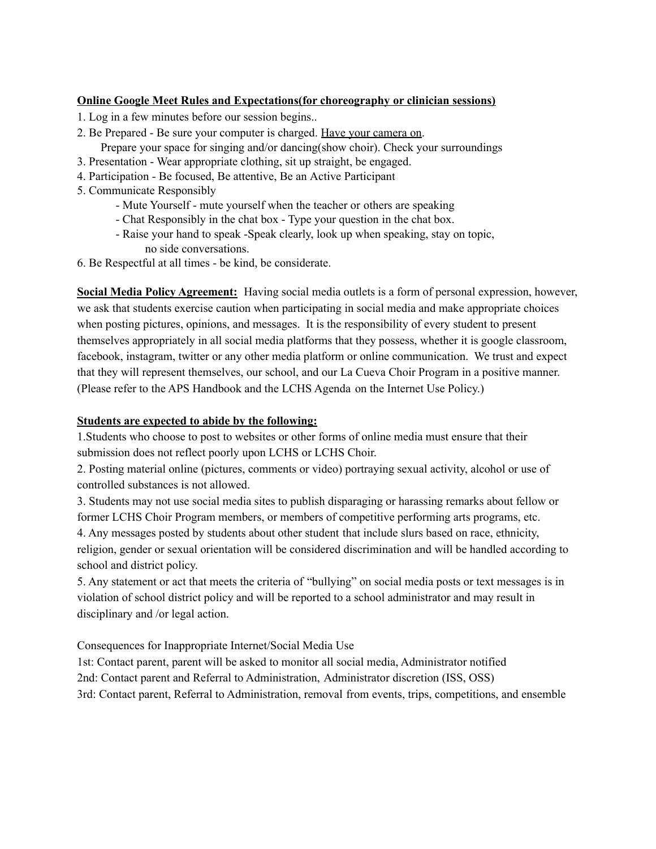# **Online Google Meet Rules and Expectations(for choreography or clinician sessions)**

- 1. Log in a few minutes before our session begins..
- 2. Be Prepared Be sure your computer is charged. Have your camera on. Prepare your space for singing and/or dancing(show choir). Check your surroundings
- 3. Presentation Wear appropriate clothing, sit up straight, be engaged.
- 4. Participation Be focused, Be attentive, Be an Active Participant
- 5. Communicate Responsibly
	- Mute Yourself mute yourself when the teacher or others are speaking
	- Chat Responsibly in the chat box Type your question in the chat box.
	- Raise your hand to speak -Speak clearly, look up when speaking, stay on topic, no side conversations.
- 6. Be Respectful at all times be kind, be considerate.

**Social Media Policy Agreement:** Having social media outlets is a form of personal expression, however, we ask that students exercise caution when participating in social media and make appropriate choices when posting pictures, opinions, and messages. It is the responsibility of every student to present themselves appropriately in all social media platforms that they possess, whether it is google classroom, facebook, instagram, twitter or any other media platform or online communication. We trust and expect that they will represent themselves, our school, and our La Cueva Choir Program in a positive manner. (Please refer to the APS Handbook and the LCHS Agenda on the Internet Use Policy.)

## **Students are expected to abide by the following:**

1.Students who choose to post to websites or other forms of online media must ensure that their submission does not reflect poorly upon LCHS or LCHS Choir.

2. Posting material online (pictures, comments or video) portraying sexual activity, alcohol or use of controlled substances is not allowed.

3. Students may not use social media sites to publish disparaging or harassing remarks about fellow or former LCHS Choir Program members, or members of competitive performing arts programs, etc.

4. Any messages posted by students about other student that include slurs based on race, ethnicity, religion, gender or sexual orientation will be considered discrimination and will be handled according to school and district policy.

5. Any statement or act that meets the criteria of "bullying" on social media posts or text messages is in violation of school district policy and will be reported to a school administrator and may result in disciplinary and /or legal action.

Consequences for Inappropriate Internet/Social Media Use

1st: Contact parent, parent will be asked to monitor all social media, Administrator notified 2nd: Contact parent and Referral to Administration, Administrator discretion (ISS, OSS) 3rd: Contact parent, Referral to Administration, removal from events, trips, competitions, and ensemble